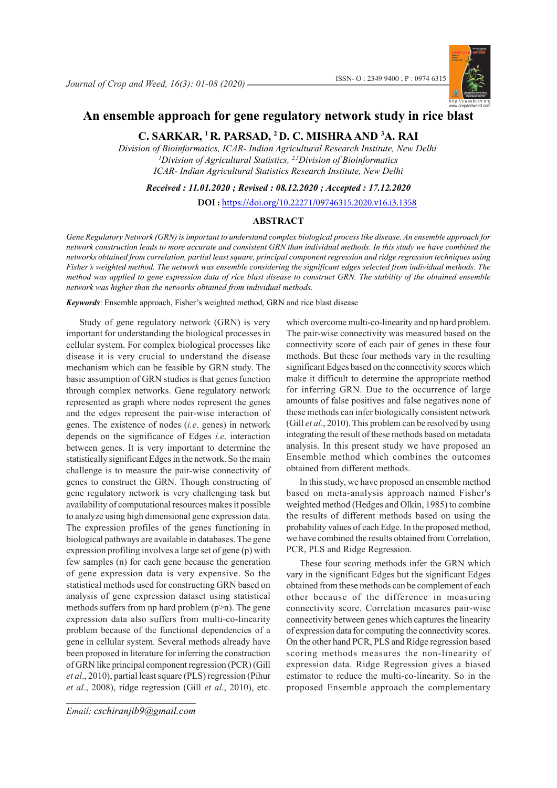

# **An ensemble approach for gene regulatory network study in rice blast**

**C. SARKAR, 1 R. PARSAD, 2 D. C. MISHRA AND 3 A. RAI**

*1 Division of Agricultural Statistics, 2,3Division of Bioinformatics ICAR- Indian Agricultural Statistics Research Institute, New Delhi Division of Bioinformatics, ICAR- Indian Agricultural Research Institute, New Delhi*

*Received : 11.01.2020 ; Revised : 08.12.2020 ; Accepted : 17.12.2020*

**DOI :** https://doi.org/10.22271/09746315.2020.v16.i3.1358

## **ABSTRACT**

*Gene Regulatory Network (GRN) is important to understand complex biological process like disease. An ensemble approach for network construction leads to more accurate and consistent GRN than individual methods. In this study we have combined the networks obtained from correlation, partial least square, principal component regression and ridge regression techniques using Fisher's weighted method. The network was ensemble considering the significant edges selected from individual methods. The method was applied to gene expression data of rice blast disease to construct GRN. The stability of the obtained ensemble network was higher than the networks obtained from individual methods.*

*Keywords*: Ensemble approach, Fisher's weighted method, GRN and rice blast disease

Study of gene regulatory network (GRN) is very important for understanding the biological processes in cellular system. For complex biological processes like disease it is very crucial to understand the disease mechanism which can be feasible by GRN study. The basic assumption of GRN studies is that genes function through complex networks. Gene regulatory network represented as graph where nodes represent the genes and the edges represent the pair-wise interaction of genes. The existence of nodes (*i.e*. genes) in network depends on the significance of Edges *i.e*. interaction between genes. It is very important to determine the statistically significant Edges in the network. So the main challenge is to measure the pair-wise connectivity of genes to construct the GRN. Though constructing of gene regulatory network is very challenging task but availability of computational resources makes it possible to analyze using high dimensional gene expression data. The expression profiles of the genes functioning in biological pathways are available in databases. The gene expression profiling involves a large set of gene (p) with few samples (n) for each gene because the generation of gene expression data is very expensive. So the statistical methods used for constructing GRN based on analysis of gene expression dataset using statistical methods suffers from np hard problem  $(p>n)$ . The gene expression data also suffers from multi-co-linearity problem because of the functional dependencies of a gene in cellular system. Several methods already have been proposed in literature for inferring the construction of GRN like principal component regression (PCR) (Gill *et al*., 2010), partial least square (PLS) regression (Pihur *et al*., 2008), ridge regression (Gill *et al*., 2010), etc.

*J. Crop and Weed, 16(3)* 1 *Email: cschiranjib9@gmail.com*

which overcome multi-co-linearity and np hard problem. The pair-wise connectivity was measured based on the connectivity score of each pair of genes in these four methods. But these four methods vary in the resulting significant Edges based on the connectivity scores which make it difficult to determine the appropriate method for inferring GRN. Due to the occurrence of large amounts of false positives and false negatives none of these methods can infer biologically consistent network (Gill *et al*., 2010). This problem can be resolved by using integrating the result of these methods based on metadata analysis. In this present study we have proposed an Ensemble method which combines the outcomes obtained from different methods.

In this study, we have proposed an ensemble method based on meta-analysis approach named Fisher's weighted method (Hedges and Olkin, 1985) to combine the results of different methods based on using the probability values of each Edge. In the proposed method, we have combined the results obtained from Correlation, PCR, PLS and Ridge Regression.

These four scoring methods infer the GRN which vary in the significant Edges but the significant Edges obtained from these methods can be complement of each other because of the difference in measuring connectivity score. Correlation measures pair-wise connectivity between genes which captures the linearity of expression data for computing the connectivity scores. On the other hand PCR, PLS and Ridge regression based scoring methods measures the non-linearity of expression data. Ridge Regression gives a biased estimator to reduce the multi-co-linearity. So in the proposed Ensemble approach the complementary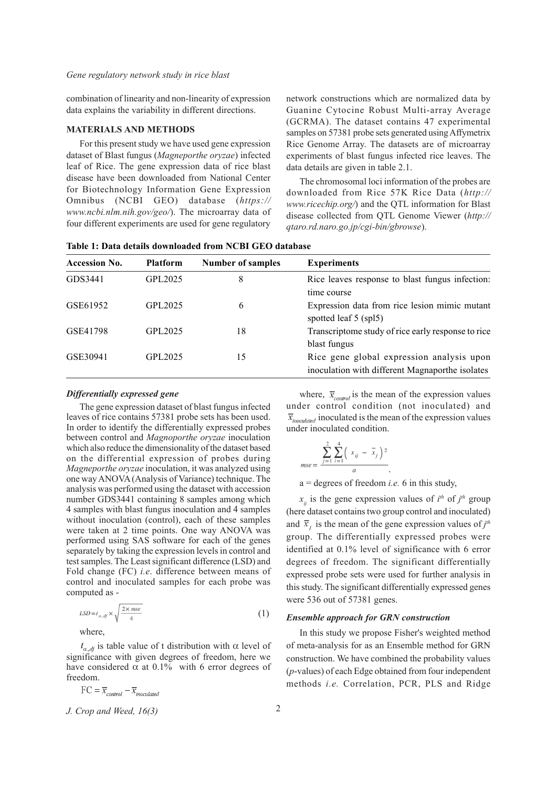combination of linearity and non-linearity of expression data explains the variability in different directions.

## **MATERIALS AND METHODS**

For this present study we have used gene expression dataset of Blast fungus (*Magneporthe oryzae*) infected leaf of Rice. The gene expression data of rice blast disease have been downloaded from National Center for Biotechnology Information Gene Expression Omnibus (NCBI GEO) database (*https:// www.ncbi.nlm.nih.gov/geo/*). The microarray data of four different experiments are used for gene regulatory

network constructions which are normalized data by Guanine Cytocine Robust Multi-array Average (GCRMA). The dataset contains 47 experimental samples on 57381 probe sets generated using Affymetrix Rice Genome Array. The datasets are of microarray experiments of blast fungus infected rice leaves. The data details are given in table 2.1.

The chromosomal loci information of the probes are downloaded from Rice 57K Rice Data (*http:// www.ricechip.org/*) and the QTL information for Blast disease collected from QTL Genome Viewer (*http:// qtaro.rd.naro.go.jp/cgi-bin/gbrowse*).

**Table 1: Data details downloaded from NCBI GEO database**

| <b>Accession No.</b> | <b>Platform</b> | <b>Number of samples</b> | <b>Experiments</b>                                                                           |
|----------------------|-----------------|--------------------------|----------------------------------------------------------------------------------------------|
| GDS3441              | GPL 2025        | 8                        | Rice leaves response to blast fungus infection:<br>time course                               |
| GSE61952             | GPL 2025        | 6                        | Expression data from rice lesion mimic mutant<br>spotted leaf 5 (spl5)                       |
| GSE41798             | GPL 2025        | 18                       | Transcriptome study of rice early response to rice<br>blast fungus                           |
| GSE30941             | GPL2025         | 15                       | Rice gene global expression analysis upon<br>inoculation with different Magnaporthe isolates |

## *Differentially expressed gene*

The gene expression dataset of blast fungus infected leaves of rice contains 57381 probe sets has been used. In order to identify the differentially expressed probes between control and *Magnoporthe oryzae* inoculation which also reduce the dimensionality of the dataset based on the differential expression of probes during *Magneporthe oryzae* inoculation, it was analyzed using one way ANOVA (Analysis of Variance) technique. The analysis was performed using the dataset with accession number GDS3441 containing 8 samples among which 4 samples with blast fungus inoculation and 4 samples without inoculation (control), each of these samples were taken at 2 time points. One way ANOVA was performed using SAS software for each of the genes separately by taking the expression levels in control and test samples. The Least significant difference (LSD) and Fold change (FC) *i.e*. difference between means of control and inoculated samples for each probe was computed as -

$$
LSD = t_{\alpha, df} \times \sqrt{\frac{2 \times mse}{4}}
$$
 (1)

where,

 $t_{\alpha, d}$  is table value of t distribution with  $\alpha$  level of significance with given degrees of freedom, here we have considered  $\alpha$  at 0.1% with 6 error degrees of freedom.

$$
FC = \overline{x}_{control} - \overline{x}_{inoculated}
$$

*J. Crop and Weed, 16(3)* 2

where,  $\bar{x}_{control}$  is the mean of the expression values under control condition (not inoculated) and  $\overline{x}_{\text{inoculated}}$  inoculated is the mean of the expression values under inoculated condition.

$$
mse = \frac{\sum_{j=1}^{2} \sum_{i=1}^{4} (x_{ij} - \bar{x}_j)^2}{a},
$$

 $a =$  degrees of freedom *i.e.* 6 in this study,

 $x_{ij}$  is the gene expression values of  $i^{th}$  of  $j^{th}$  group (here dataset contains two group control and inoculated) and  $\bar{x}_i$  is the mean of the gene expression values of  $j^{\text{th}}$ group. The differentially expressed probes were identified at 0.1% level of significance with 6 error degrees of freedom. The significant differentially expressed probe sets were used for further analysis in this study. The significant differentially expressed genes were 536 out of 57381 genes.

#### *Ensemble approach for GRN construction*

In this study we propose Fisher's weighted method of meta-analysis for as an Ensemble method for GRN construction. We have combined the probability values (*p*-values) of each Edge obtained from four independent methods *i.e.* Correlation, PCR, PLS and Ridge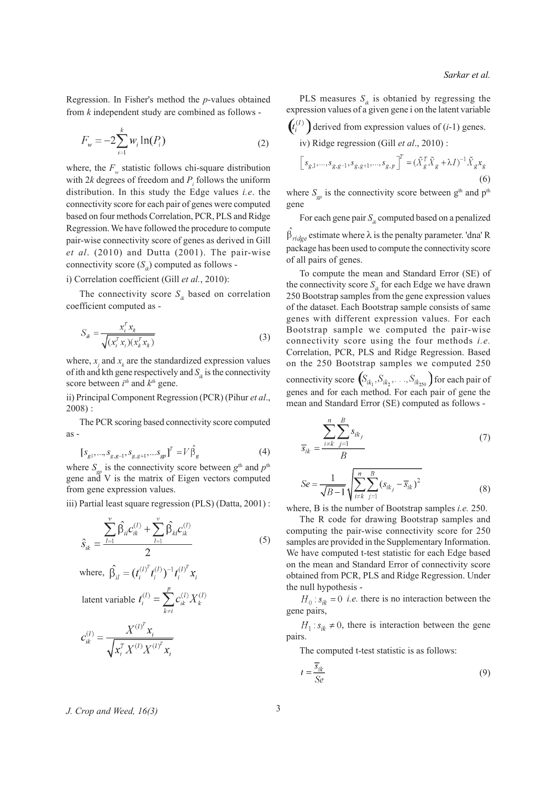Regression. In Fisher's method the *p*-values obtained from *k* independent study are combined as follows -

$$
F_w = -2\sum_{i=1}^{k} w_i \ln(P_i)
$$
 (2)

where, the  $F_w$  statistic follows chi-square distribution with 2 $k$  degrees of freedom and  $P_i$  follows the uniform distribution. In this study the Edge values *i.e*. the connectivity score for each pair of genes were computed based on four methods Correlation, PCR, PLS and Ridge Regression. We have followed the procedure to compute pair-wise connectivity score of genes as derived in Gill *et al*. (2010) and Dutta (2001). The pair-wise connectivity score  $(S_n)$  computed as follows -

## i) Correlation coefficient (Gill *et al.*, 2010):

The connectivity score  $S_{ik}$  based on correlation coefficient computed as -

$$
S_{ik} = \frac{x_i^T x_k}{\sqrt{(x_i^T x_i)(x_k^T x_k)}}
$$
(3)

where,  $x_j$  and  $x_k$  are the standardized expression values of ith and kth gene respectively and  $S_{ik}$  is the connectivity score between  $i^{th}$  and  $k^{th}$  gene.

ii) Principal Component Regression (PCR) (Pihur *et al*., 2008) :

The PCR scoring based connectivity score computed as -

$$
[s_{g1},...,s_{g,g-1},s_{g,g+1},...s_{gp}]^{T} = V\hat{\beta}_{g}
$$
 (4)

where  $S_{\text{gp}}$  is the connectivity score between  $g^{\text{th}}$  and  $p^{\text{th}}$ gene and V is the matrix of Eigen vectors computed from gene expression values.

iii) Partial least square regression (PLS) (Datta, 2001) :

$$
\hat{S}_{ik} = \frac{\sum_{l=1}^{v} \hat{\beta}_{il} c_{ik}^{(l)} + \sum_{l=1}^{v} \hat{\beta}_{kl} c_{ik}^{(l)}}{2}
$$
(5)

where, 
$$
\hat{\beta}_{il} = (t_i^{(I)^T} t_i^{(I)})^{-1} t_i^{(I)^T} x_i
$$
  
latent variable  $t_i^{(I)} = \sum_{k \neq i}^{p} c_{ik}^{(I)} X_k^{(I)}$   

$$
c_{ik}^{(I)} = \frac{X^{(I)^T} x_i}{\sqrt{x_i^T X^{(I)} X^{(I)^T} x_i}}
$$

PLS measures  $S_{ik}$  is obtanied by regressing the expression values of a given gene i on the latent variable

$$
(t_i^{(t)}) \text{ derived from expression values of } (i-1) \text{ genes.}
$$
  
iv) Ridge regression (Gill *et al.*, 2010):  

$$
\left[s_{g,1}, \dots, s_{g,g-1}, s_{g,g+1}, \dots, s_{g,p}\right]^T = (\tilde{X}_g^T \tilde{X}_g + \lambda I)^{-1} \tilde{X}_g x_g
$$

$$
(6)
$$

where  $S_{gp}$  is the connectivity score between  $g<sup>th</sup>$  and  $p<sup>th</sup>$ gene

For each gene pair  $S_{ik}$  computed based on a penalized  $\beta_{ridge}$  estimate where  $\lambda$  is the penalty parameter. 'dna' R

package has been used to compute the connectivity score of all pairs of genes.

To compute the mean and Standard Error (SE) of the connectivity score  $S_{ik}$  for each Edge we have drawn 250 Bootstrap samples from the gene expression values of the dataset. Each Bootstrap sample consists of same genes with different expression values. For each Bootstrap sample we computed the pair-wise connectivity score using the four methods *i.e.* Correlation, PCR, PLS and Ridge Regression. Based on the 250 Bootstrap samples we computed 250 connectivity score  $(S_{ik_1}, S_{ik_2}, \ldots, S_{ik_{250}})$  for each pair of genes and for each method. For each pair of gene the mean and Standard Error (SE) computed as follows -

$$
\overline{s}_{ik} = \frac{\sum_{i \neq k}^{n} \sum_{j=1}^{B} s_{ik_j}}{B}
$$
\n(7)

$$
Se = \frac{1}{\sqrt{B-1}} \sqrt{\sum_{i=k}^{n} \sum_{j=1}^{B} (s_{ik_j} - \overline{s}_{ik})^2}
$$
(8)

where, B is the number of Bootstrap samples *i.e.* 250.

The R code for drawing Bootstrap samples and computing the pair-wise connectivity score for 250 samples are provided in the Supplementary Information. We have computed t-test statistic for each Edge based on the mean and Standard Error of connectivity score obtained from PCR, PLS and Ridge Regression. Under the null hypothesis -

 $H_0: s_{ik} = 0$  *i.e.* there is no interaction between the gene pairs,

 $H_1: s_{ik} \neq 0$ , there is interaction between the gene pairs.

The computed t-test statistic is as follows:

$$
t = \frac{\overline{s}_{ik}}{Se} \tag{9}
$$

*J. Crop and Weed, 16(3)* 3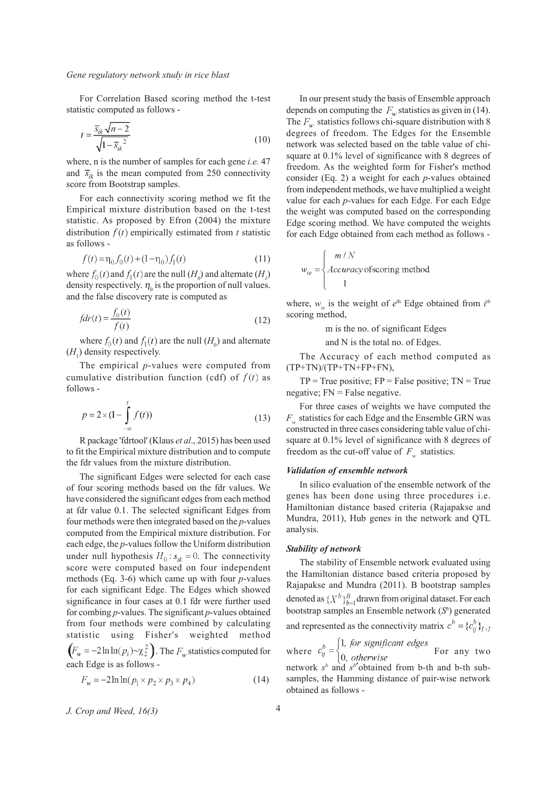For Correlation Based scoring method the t-test statistic computed as follows -

$$
t = \frac{\overline{s}_{ik}\sqrt{n-2}}{\sqrt{1-\overline{s}_{ik}^2}}\tag{10}
$$

where, n is the number of samples for each gene *i.e.* 47 and  $\overline{s}_{ik}$  is the mean computed from 250 connectivity score from Bootstrap samples.

For each connectivity scoring method we fit the Empirical mixture distribution based on the t-test statistic. As proposed by Efron (2004) the mixture distribution  $f(t)$  empirically estimated from  $t$  statistic as follows -

$$
f(t) = \eta_0 f_0(t) + (1 - \eta_0) f_1(t)
$$
\n(11)

where  $f_0(t)$  and  $f_1(t)$  are the null  $(H_0)$  and alternate  $(H_1)$ density respectively.  $\eta_0$  is the proportion of null values. and the false discovery rate is computed as

$$
fdr(t) = \frac{f_0(t)}{f(t)}
$$
\n(12)

where  $f_0(t)$  and  $f_1(t)$  are the null  $(H_0)$  and alternate  $(H<sub>1</sub>)$  density respectively.

The empirical *p*-values were computed from cumulative distribution function (cdf) of  $f(t)$  as follows -

$$
p = 2 \times (1 - \int_{-\infty}^{t} f(t))
$$
\n(13)

R package 'fdrtool' (Klaus *et al*., 2015) has been used to fit the Empirical mixture distribution and to compute the fdr values from the mixture distribution.

The significant Edges were selected for each case of four scoring methods based on the fdr values. We have considered the significant edges from each method at fdr value 0.1. The selected significant Edges from four methods were then integrated based on the *p*-values computed from the Empirical mixture distribution. For each edge, the *p*-values follow the Uniform distribution under null hypothesis  $H_0: s_{ik} = 0$ . The connectivity score were computed based on four independent methods (Eq. 3-6) which came up with four *p*-values for each significant Edge. The Edges which showed significance in four cases at 0.1 fdr were further used for combing *p*-values. The significant *p*-values obtained from four methods were combined by calculating statistic using Fisher's weighted method  $\left(F_w = -2\ln \ln(p_i) \sim \chi_2^2\right)$ . The  $F_w$  statistics computed for

each Edge is as follows -

$$
F_w = -2\ln\ln(p_1 \times p_2 \times p_3 \times p_4) \tag{14}
$$

*J. Crop and Weed, 16(3)* 4

In our present study the basis of Ensemble approach depends on computing the  $F_w$  statistics as given in (14). The  $F_w$  statistics follows chi-square distribution with 8 degrees of freedom. The Edges for the Ensemble network was selected based on the table value of chisquare at 0.1% level of significance with 8 degrees of freedom. As the weighted form for Fisher's method consider (Eq. 2) a weight for each *p*-values obtained from independent methods, we have multiplied a weight value for each *p*-values for each Edge. For each Edge the weight was computed based on the corresponding Edge scoring method. We have computed the weights for each Edge obtained from each method as follows -

$$
w_{ie} = \begin{cases} m/N \\ Accuracy \text{ of scoring method} \\ 1 \end{cases}
$$

where,  $w_{ie}$  is the weight of  $e^{th}$  Edge obtained from  $i^{th}$ scoring method,

m is the no. of significant Edges

and N is the total no. of Edges.

The Accuracy of each method computed as  $(TP+TN)/(TP+TN+FP+FN),$ 

 $TP = True$  positive;  $FP = False$  positive;  $TN = True$ negative;  $FN = False$  negative.

For three cases of weights we have computed the  $F_w$  statistics for each Edge and the Ensemble GRN was constructed in three cases considering table value of chisquare at 0.1% level of significance with 8 degrees of freedom as the cut-off value of  $F_w$  statistics.

#### *Validation of ensemble network*

In silico evaluation of the ensemble network of the genes has been done using three procedures i.e. Hamiltonian distance based criteria (Rajapakse and Mundra, 2011), Hub genes in the network and QTL analysis.

#### *Stability of network*

The stability of Ensemble network evaluated using the Hamiltonian distance based criteria proposed by Rajapakse and Mundra (2011). B bootstrap samples denoted as  $\{X^b\}_{b=1}^B$  drawn from original dataset. For each bootstrap samples an Ensemble network (S<sup>b</sup>) generated and represented as the connectivity matrix  $c^b = {c_{ii}^b}_{\mathit{I} \times \mathit{I}}$ 

where 
$$
c_{ij}^b = \begin{cases} 1, & \text{for significant edges} \\ 0, & \text{otherwise} \end{cases}
$$
 For any two network  $s^b$  and  $s^b$ 'obtained from b-th and b-th sub-  
samples the Hamming distance of pair wise network

samples, the Hamming distance of pair-wise network obtained as follows -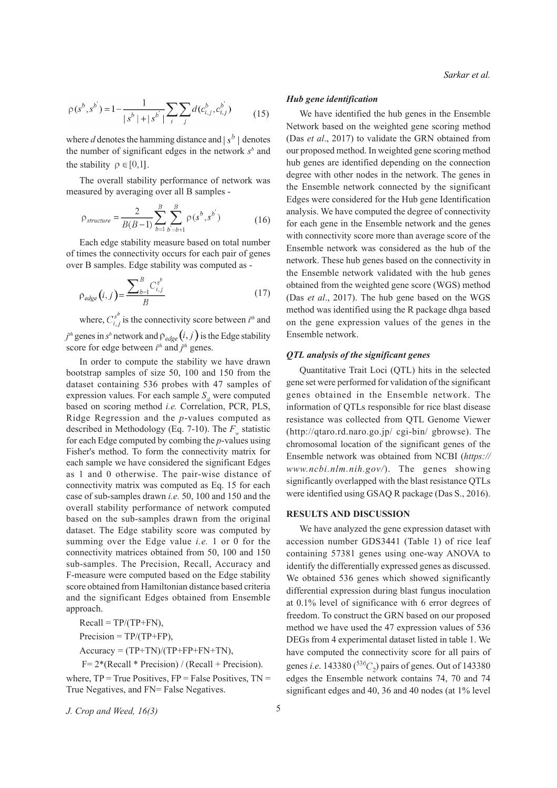$$
\rho(s^b, s^{b'}) = 1 - \frac{1}{|s^b| + |s^{b'}|} \sum_{i} \sum_{j} d(c^b_{i,j}, c^{b'}_{i,j})
$$
(15)

where *d* denotes the hamming distance and  $\frac{s}{b}$  denotes the number of significant edges in the network  $s<sup>b</sup>$  and the stability  $\rho \in [0,1]$ .

The overall stability performance of network was measured by averaging over all B samples -

$$
\rho_{structure} = \frac{2}{B(B-1)} \sum_{b=1}^{B} \sum_{b=b+1}^{B} \rho(s^b, s^b)
$$
(16)

Each edge stability measure based on total number of times the connectivity occurs for each pair of genes over B samples. Edge stability was computed as -

$$
\rho_{edge}(i,j) = \frac{\sum_{b=1}^{B} C_{i,j}^{s^b}}{B}
$$
\n(17)

where,  $C_{i,i}^{s}$  is the connectivity score between  $i^{th}$  and  $j<sup>th</sup>$  genes in  $s<sup>b</sup>$  network and  $\rho_{edge}(i, j)$  is the Edge stability score for edge between  $i^{th}$  and  $j^{th}$  genes.

In order to compute the stability we have drawn bootstrap samples of size 50, 100 and 150 from the dataset containing 536 probes with 47 samples of expression values. For each sample  $S<sub>i</sub>$  were computed based on scoring method *i.e.* Correlation, PCR, PLS, Ridge Regression and the *p*-values computed as described in Methodology (Eq.  $7-10$ ). The  $F_w$  statistic for each Edge computed by combing the *p*-values using Fisher's method. To form the connectivity matrix for each sample we have considered the significant Edges as 1 and 0 otherwise. The pair-wise distance of connectivity matrix was computed as Eq. 15 for each case of sub-samples drawn *i.e.* 50, 100 and 150 and the overall stability performance of network computed based on the sub-samples drawn from the original dataset. The Edge stability score was computed by summing over the Edge value *i.e.* 1 or 0 for the connectivity matrices obtained from 50, 100 and 150 sub-samples. The Precision, Recall, Accuracy and F-measure were computed based on the Edge stability score obtained from Hamiltonian distance based criteria and the significant Edges obtained from Ensemble approach.

 $Recall = TP/(TP+FN)$ ,

 $Precision = TP/(TP+FP)$ ,

 $Accuracy = (TP+TN)/(TP+FP+FN+TN)$ ,

$$
F = 2*(Recall * Precision) / (Recall + Precision).
$$

where,  $TP = True$  Positives,  $FP = False$  Positives,  $TN =$ True Negatives, and FN= False Negatives.

*J. Crop and Weed, 16(3)* 5

## *Hub gene identification*

We have identified the hub genes in the Ensemble Network based on the weighted gene scoring method (Das *et al*., 2017) to validate the GRN obtained from our proposed method. In weighted gene scoring method hub genes are identified depending on the connection degree with other nodes in the network. The genes in the Ensemble network connected by the significant Edges were considered for the Hub gene Identification analysis. We have computed the degree of connectivity for each gene in the Ensemble network and the genes with connectivity score more than average score of the Ensemble network was considered as the hub of the network. These hub genes based on the connectivity in the Ensemble network validated with the hub genes obtained from the weighted gene score (WGS) method (Das *et al*., 2017). The hub gene based on the WGS method was identified using the R package dhga based on the gene expression values of the genes in the Ensemble network.

## *QTL analysis of the significant genes*

Quantitative Trait Loci (QTL) hits in the selected gene set were performed for validation of the significant genes obtained in the Ensemble network. The information of QTLs responsible for rice blast disease resistance was collected from QTL Genome Viewer (http://qtaro.rd.naro.go.jp/ cgi-bin/ gbrowse). The chromosomal location of the significant genes of the Ensemble network was obtained from NCBI (*https:// www.ncbi.nlm.nih.gov/*). The genes showing significantly overlapped with the blast resistance QTLs were identified using GSAQ R package (Das S., 2016).

## **RESULTS AND DISCUSSION**

We have analyzed the gene expression dataset with accession number GDS3441 (Table 1) of rice leaf containing 57381 genes using one-way ANOVA to identify the differentially expressed genes as discussed. We obtained 536 genes which showed significantly differential expression during blast fungus inoculation at 0.1% level of significance with 6 error degrees of freedom. To construct the GRN based on our proposed method we have used the 47 expression values of 536 DEGs from 4 experimental dataset listed in table 1. We have computed the connectivity score for all pairs of genes *i.e.* 143380 ( ${}^{536}C_2$ ) pairs of genes. Out of 143380 edges the Ensemble network contains 74, 70 and 74 significant edges and 40, 36 and 40 nodes (at 1% level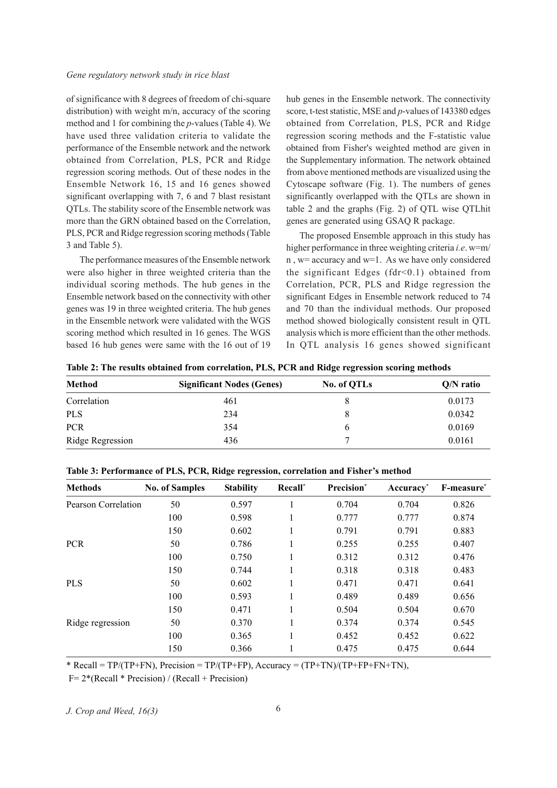#### *Gene regulatory network study in rice blast*

of significance with 8 degrees of freedom of chi-square distribution) with weight m/n, accuracy of the scoring method and 1 for combining the *p*-values (Table 4). We have used three validation criteria to validate the performance of the Ensemble network and the network obtained from Correlation, PLS, PCR and Ridge regression scoring methods. Out of these nodes in the Ensemble Network 16, 15 and 16 genes showed significant overlapping with 7, 6 and 7 blast resistant QTLs. The stability score of the Ensemble network was more than the GRN obtained based on the Correlation, PLS, PCR and Ridge regression scoring methods (Table 3 and Table 5).

The performance measures of the Ensemble network were also higher in three weighted criteria than the individual scoring methods. The hub genes in the Ensemble network based on the connectivity with other genes was 19 in three weighted criteria. The hub genes in the Ensemble network were validated with the WGS scoring method which resulted in 16 genes. The WGS based 16 hub genes were same with the 16 out of 19 hub genes in the Ensemble network. The connectivity score, t-test statistic, MSE and *p*-values of 143380 edges obtained from Correlation, PLS, PCR and Ridge regression scoring methods and the F-statistic value obtained from Fisher's weighted method are given in the Supplementary information. The network obtained from above mentioned methods are visualized using the Cytoscape software (Fig. 1). The numbers of genes significantly overlapped with the QTLs are shown in table 2 and the graphs (Fig. 2) of QTL wise QTLhit genes are generated using GSAQ R package.

The proposed Ensemble approach in this study has higher performance in three weighting criteria *i.e*. w=m/ n , w= accuracy and w=1. As we have only considered the significant Edges ( $fdr < 0.1$ ) obtained from Correlation, PCR, PLS and Ridge regression the significant Edges in Ensemble network reduced to 74 and 70 than the individual methods. Our proposed method showed biologically consistent result in QTL analysis which is more efficient than the other methods. In QTL analysis 16 genes showed significant

**Table 2: The results obtained from correlation, PLS, PCR and Ridge regression scoring methods**

| Method           | <b>Significant Nodes (Genes)</b> | No. of QTLs | $Q/N$ ratio |
|------------------|----------------------------------|-------------|-------------|
| Correlation      | 461                              |             | 0.0173      |
| <b>PLS</b>       | 234                              |             | 0.0342      |
| <b>PCR</b>       | 354                              |             | 0.0169      |
| Ridge Regression | 436                              |             | 0.0161      |

| Table 3: Performance of PLS, PCR, Ridge regression, correlation and Fisher's method |  |  |  |
|-------------------------------------------------------------------------------------|--|--|--|
|-------------------------------------------------------------------------------------|--|--|--|

| <b>Methods</b>      | <b>No. of Samples</b> | <b>Stability</b> | Recall* | Precision* | Accuracy <sup>*</sup> | F-measure <sup>*</sup> |
|---------------------|-----------------------|------------------|---------|------------|-----------------------|------------------------|
| Pearson Correlation | 50                    | 0.597            |         | 0.704      | 0.704                 | 0.826                  |
|                     | 100                   | 0.598            |         | 0.777      | 0.777                 | 0.874                  |
|                     | 150                   | 0.602            |         | 0.791      | 0.791                 | 0.883                  |
| <b>PCR</b>          | 50                    | 0.786            |         | 0.255      | 0.255                 | 0.407                  |
|                     | 100                   | 0.750            |         | 0.312      | 0.312                 | 0.476                  |
|                     | 150                   | 0.744            |         | 0.318      | 0.318                 | 0.483                  |
| <b>PLS</b>          | 50                    | 0.602            |         | 0.471      | 0.471                 | 0.641                  |
|                     | 100                   | 0.593            |         | 0.489      | 0.489                 | 0.656                  |
|                     | 150                   | 0.471            |         | 0.504      | 0.504                 | 0.670                  |
| Ridge regression    | 50                    | 0.370            |         | 0.374      | 0.374                 | 0.545                  |
|                     | 100                   | 0.365            |         | 0.452      | 0.452                 | 0.622                  |
|                     | 150                   | 0.366            |         | 0.475      | 0.475                 | 0.644                  |

\* Recall = TP/(TP+FN), Precision = TP/(TP+FP), Accuracy = (TP+TN)/(TP+FP+FN+TN),

 $F= 2*(Recall * Precision) / (Recall + Precision)$ 

*J. Crop and Weed, 16(3)* 6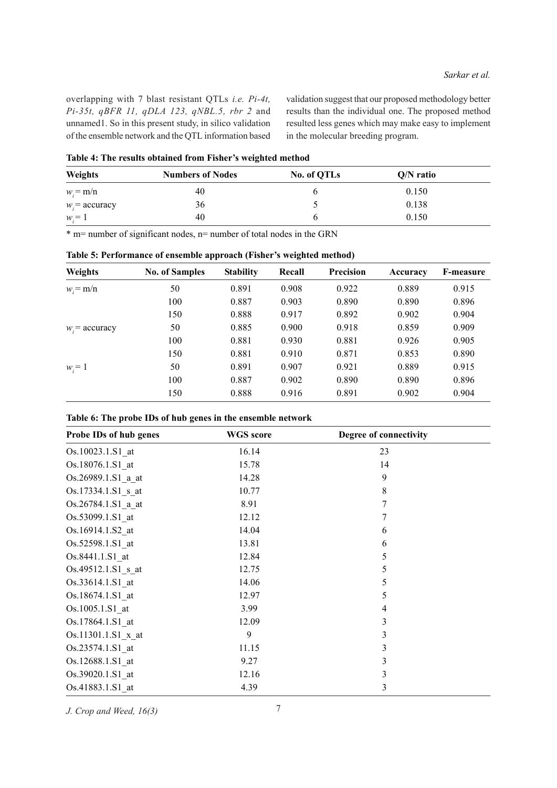overlapping with 7 blast resistant QTLs *i.e. Pi-4t, Pi-35t, qBFR 11, qDLA 123, qNBL.5, rbr 2* and unnamed1. So in this present study, in silico validation of the ensemble network and the QTL information based validation suggest that our proposed methodology better results than the individual one. The proposed method resulted less genes which may make easy to implement in the molecular breeding program.

|                  | Table 1, The results obtained from Fisher 3 weighted include |             |             |  |  |  |
|------------------|--------------------------------------------------------------|-------------|-------------|--|--|--|
| Weights          | <b>Numbers of Nodes</b>                                      | No. of QTLs | $Q/N$ ratio |  |  |  |
| $w_i = m/n$      | 40                                                           |             | 0.150       |  |  |  |
| $w_i$ = accuracy | 36                                                           |             | 0.138       |  |  |  |
| $w_i = 1$        | 40                                                           |             | 0.150       |  |  |  |

**Table 4: The results obtained from Fisher's weighted method**

|  | $*$ m= number of significant nodes, n= number of total nodes in the GRN |  |  |  |  |  |  |
|--|-------------------------------------------------------------------------|--|--|--|--|--|--|
|  |                                                                         |  |  |  |  |  |  |

| <b>Weights</b>   | <b>No. of Samples</b> | <b>Stability</b> | Recall | <b>Precision</b> | Accuracy | <b>F-measure</b> |
|------------------|-----------------------|------------------|--------|------------------|----------|------------------|
| $w_i = m/n$      | 50                    | 0.891            | 0.908  | 0.922            | 0.889    | 0.915            |
|                  | 100                   | 0.887            | 0.903  | 0.890            | 0.890    | 0.896            |
|                  | 150                   | 0.888            | 0.917  | 0.892            | 0.902    | 0.904            |
| $w_i$ = accuracy | 50                    | 0.885            | 0.900  | 0.918            | 0.859    | 0.909            |
|                  | 100                   | 0.881            | 0.930  | 0.881            | 0.926    | 0.905            |
|                  | 150                   | 0.881            | 0.910  | 0.871            | 0.853    | 0.890            |
| $w_i = 1$        | 50                    | 0.891            | 0.907  | 0.921            | 0.889    | 0.915            |
|                  | 100                   | 0.887            | 0.902  | 0.890            | 0.890    | 0.896            |
|                  | 150                   | 0.888            | 0.916  | 0.891            | 0.902    | 0.904            |

**Table 5: Performance of ensemble approach (Fisher's weighted method)**

|  | Table 6: The probe IDs of hub genes in the ensemble network |
|--|-------------------------------------------------------------|
|--|-------------------------------------------------------------|

| Probe IDs of hub genes | <b>WGS</b> score | Degree of connectivity |
|------------------------|------------------|------------------------|
| Os.10023.1.S1 at       | 16.14            | 23                     |
| Os.18076.1.S1 at       | 15.78            | 14                     |
| Os.26989.1.S1 a at     | 14.28            | 9                      |
| Os.17334.1.S1 s at     | 10.77            | 8                      |
| Os.26784.1.S1 a at     | 8.91             | 7                      |
| Os.53099.1.S1 at       | 12.12            | 7                      |
| Os.16914.1.S2 at       | 14.04            | 6                      |
| Os.52598.1.S1 at       | 13.81            | 6                      |
| Os.8441.1.S1 at        | 12.84            | 5                      |
| Os.49512.1.S1 s at     | 12.75            | 5                      |
| Os.33614.1.S1 at       | 14.06            | 5                      |
| Os.18674.1.S1 at       | 12.97            | 5                      |
| Os.1005.1.S1 at        | 3.99             | 4                      |
| Os.17864.1.S1 at       | 12.09            | 3                      |
| Os.11301.1.S1_x_at     | 9                | 3                      |
| Os.23574.1.S1 at       | 11.15            | 3                      |
| Os.12688.1.S1 at       | 9.27             | 3                      |
| Os.39020.1.S1 at       | 12.16            | 3                      |
| Os.41883.1.S1 at       | 4.39             | 3                      |

*J. Crop and Weed, 16(3)* 7